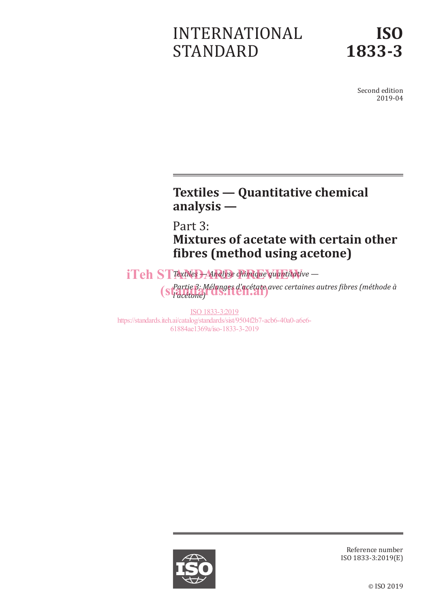# INTERNATIONAL STANDARD

Second edition 2019-04

### **Textiles — Quantitative chemical analysis —**

Part 3:

**Mixtures of acetate with certain other fibres (method using acetone)**

 $iTeh$  STTextiles > Analyse chimique quantitative —

*Partie 3: Mélanges d'acétate avec certaines autres fibres (méthode à (s Partie 3: Mélanges d'acétate a*<br> *l'acétone*)<br> *l'acétone* 

ISO 1833-3:2019 https://standards.iteh.ai/catalog/standards/sist/9504f2b7-acb6-40a0-a6e6- 61884ae1369a/iso-1833-3-2019



Reference number ISO 1833-3:2019(E)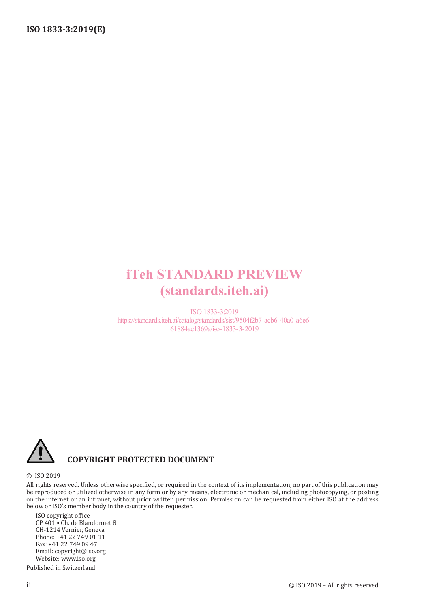## iTeh STANDARD PREVIEW (standards.iteh.ai)

ISO 1833-3:2019

https://standards.iteh.ai/catalog/standards/sist/9504f2b7-acb6-40a0-a6e6- 61884ae1369a/iso-1833-3-2019



#### **COPYRIGHT PROTECTED DOCUMENT**

#### © ISO 2019

All rights reserved. Unless otherwise specified, or required in the context of its implementation, no part of this publication may be reproduced or utilized otherwise in any form or by any means, electronic or mechanical, including photocopying, or posting on the internet or an intranet, without prior written permission. Permission can be requested from either ISO at the address below or ISO's member body in the country of the requester.

ISO copyright office CP 401 • Ch. de Blandonnet 8 CH-1214 Vernier, Geneva Phone: +41 22 749 01 11 Fax: +41 22 749 09 47 Email: copyright@iso.org Website: www.iso.org

Published in Switzerland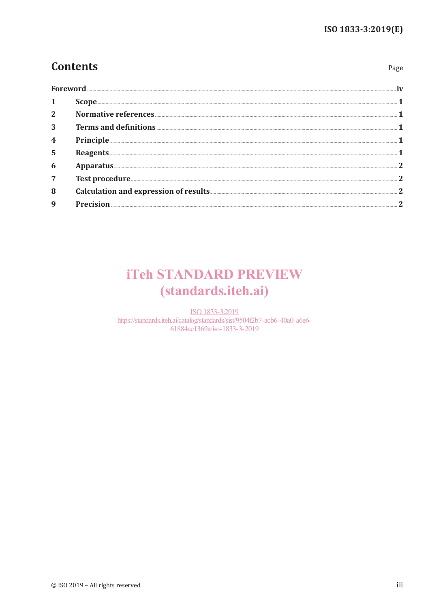Page

### **Contents**

| $\mathbf{2}$     |                                                                                                                                                                                                                                     |
|------------------|-------------------------------------------------------------------------------------------------------------------------------------------------------------------------------------------------------------------------------------|
| 3                | Terms and definitions <b>Executive Construction</b> and the state of the state of the state of the state of the state of the state of the state of the state of the state of the state of the state of the state of the state of th |
| $\boldsymbol{4}$ |                                                                                                                                                                                                                                     |
| 5                |                                                                                                                                                                                                                                     |
| 6                |                                                                                                                                                                                                                                     |
| 7                |                                                                                                                                                                                                                                     |
| 8                | Calculation and expression of results <b>Section</b> 2014 12:00 12:00 13:00 14:00 14:00 14:00 14:00 14:00 14:00 14:00 14:00 14:00 14:00 14:00 14:00 14:00 14:00 14:00 14:00 14:00 14:00 14:00 14:00 14:00 14:00 14:00 14:00 14:00 1 |
| 9                |                                                                                                                                                                                                                                     |

## **iTeh STANDARD PREVIEW** (standards.iteh.ai)

ISO 1833-3:2019 https://standards.iteh.ai/catalog/standards/sist/9504f2b7-acb6-40a0-a6e6-61884ae1369a/iso-1833-3-2019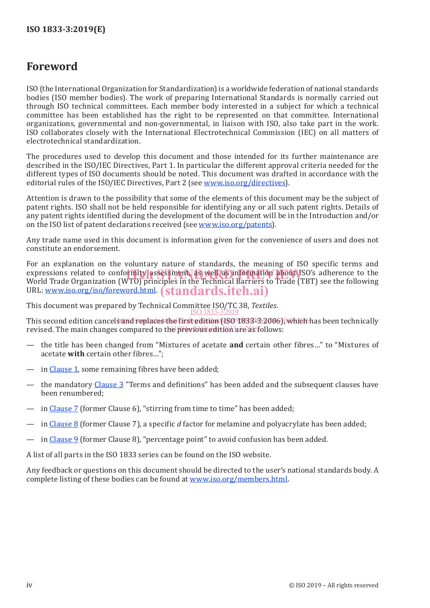### **Foreword**

ISO (the International Organization for Standardization) is a worldwide federation of national standards bodies (ISO member bodies). The work of preparing International Standards is normally carried out through ISO technical committees. Each member body interested in a subject for which a technical committee has been established has the right to be represented on that committee. International organizations, governmental and non-governmental, in liaison with ISO, also take part in the work. ISO collaborates closely with the International Electrotechnical Commission (IEC) on all matters of electrotechnical standardization.

The procedures used to develop this document and those intended for its further maintenance are described in the ISO/IEC Directives, Part 1. In particular the different approval criteria needed for the different types of ISO documents should be noted. This document was drafted in accordance with the editorial rules of the ISO/IEC Directives, Part 2 (see www.iso.org/directives).

Attention is drawn to the possibility that some of the elements of this document may be the subject of patent rights. ISO shall not be held responsible for identifying any or all such patent rights. Details of any patent rights identified during the development of the document will be in the Introduction and/or on the ISO list of patent declarations received (see www.iso.org/patents).

Any trade name used in this document is information given for the convenience of users and does not constitute an endorsement.

For an explanation on the voluntary nature of standards, the meaning of ISO specific terms and expressions related to conformity assessment, as well as information about ISO's adherence to the<br>World Trade Organization (WTO) principles in the Technical Barriers to Trade (TBT) see the following World Trade Organization (WTO) principles in the Technical Barriers to Trade (TBT) see the following URL: <u>www.iso.org/iso/foreword.html</u>. (standards.iteh.ai)

This document was prepared by Technical Committee ISO/TC 38, *Textiles*. ISO 1833-3:2019

This second edition cancels and replaces the first edition (ISO 1833-3:2006), which has been technically revised. The main changes compared to the previous edition are as follows:

- the title has been changed from "Mixtures of acetate **and** certain other fibres…" to "Mixtures of acetate **with** certain other fibres…";
- in Clause 1, some remaining fibres have been added;
- the mandatory Clause 3 "Terms and definitions" has been added and the subsequent clauses have been renumbered;
- in Clause 7 (former Clause 6), "stirring from time to time" has been added;
- in Clause 8 (former Clause 7), a specific *d* factor for melamine and polyacrylate has been added;
- in Clause 9 (former Clause 8), "percentage point" to avoid confusion has been added.

A list of all parts in the ISO 1833 series can be found on the ISO website.

Any feedback or questions on this document should be directed to the user's national standards body. A complete listing of these bodies can be found at www.iso.org/members.html.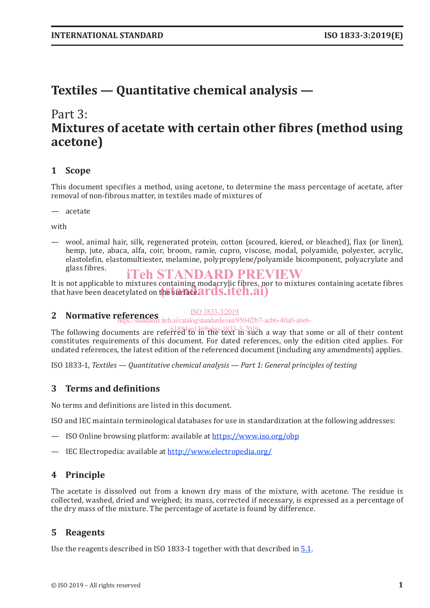### **Textiles — Quantitative chemical analysis —**

### Part 3: **Mixtures of acetate with certain other fibres (method using acetone)**

#### **1 Scope**

This document specifies a method, using acetone, to determine the mass percentage of acetate, after removal of non-fibrous matter, in textiles made of mixtures of

— acetate

with

- wool, animal hair, silk, regenerated protein, cotton (scoured, kiered, or bleached), flax (or linen), hemp, jute, abaca, alfa, coir, broom, ramie, cupro, viscose, modal, polyamide, polyester, acrylic, elastolefin, elastomultiester, melamine, polypropylene/polyamide bicomponent, polyacrylate and glass fibres.
	- iTeh STANDARD PREVIEW

It is not applicable to mixtures containing modacrylic fibres, nor to mixtures containing acetate fibres it is not applicable to mixtures containing modaci yild libres, hold<br>that have been deacetylated on the surface **ards.iteh.ai**)

#### **2 Normative references** ISO 1833-3:2019 https://standards.iteh.ai/catalog/standards/sist/9504f2b7-acb6-40a0-a6e6-

The following documents are referred to  $\frac{1836}{10}$  the text in such a way that some or all of their content constitutes requirements of this document. For dated references, only the edition cited applies. For undated references, the latest edition of the referenced document (including any amendments) applies.

ISO 1833-1, *Textiles — Quantitative chemical analysis — Part 1: General principles of testing*

#### **3 Terms and definitions**

No terms and definitions are listed in this document.

ISO and IEC maintain terminological databases for use in standardization at the following addresses:

- ISO Online browsing platform: available at https://www.iso.org/obp
- IEC Electropedia: available at http://www.electropedia.org/

#### **4 Principle**

The acetate is dissolved out from a known dry mass of the mixture, with acetone. The residue is collected, washed, dried and weighed; its mass, corrected if necessary, is expressed as a percentage of the dry mass of the mixture. The percentage of acetate is found by difference.

#### **5 Reagents**

Use the reagents described in ISO 1833-1 together with that described in 5.1.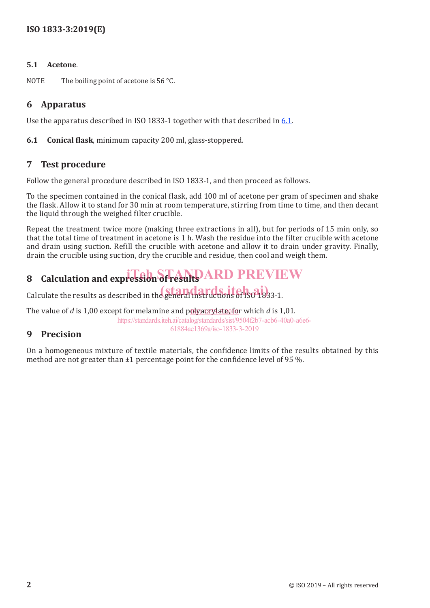#### **5.1 Acetone**.

NOTE The boiling point of acetone is  $56^{\circ}$ C.

#### **6 Apparatus**

Use the apparatus described in ISO 1833-1 together with that described in 6.1.

**6.1 Conical flask**, minimum capacity 200 ml, glass-stoppered.

#### **7 Test procedure**

Follow the general procedure described in ISO 1833-1, and then proceed as follows.

To the specimen contained in the conical flask, add 100 ml of acetone per gram of specimen and shake the flask. Allow it to stand for 30 min at room temperature, stirring from time to time, and then decant the liquid through the weighed filter crucible.

Repeat the treatment twice more (making three extractions in all), but for periods of 15 min only, so that the total time of treatment in acetone is 1 h. Wash the residue into the filter crucible with acetone and drain using suction. Refill the crucible with acetone and allow it to drain under gravity. Finally, drain the crucible using suction, dry the crucible and residue, then cool and weigh them.

## 8 **Calculation and expression of results** ARD PREVIEW

Calculate the results as described in the general instructions of ISO 1833-1.

The value of *d* is 1,00 except for melamine and p<u>olyacrylate, fo</u>r which *d* is 1,01.

https://standards.iteh.ai/catalog/standards/sist/9504f2b7-acb6-40a0-a6e6- 61884ae1369a/iso-1833-3-2019

#### **9 Precision**

On a homogeneous mixture of textile materials, the confidence limits of the results obtained by this method are not greater than ±1 percentage point for the confidence level of 95 %.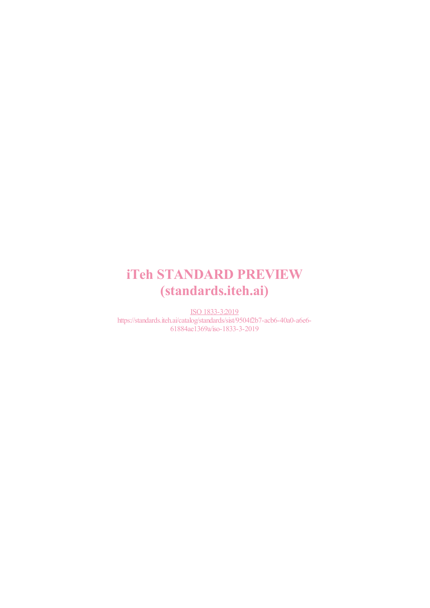## iTeh STANDARD PREVIEW (standards.iteh.ai)

ISO 1833-3:2019 https://standards.iteh.ai/catalog/standards/sist/9504f2b7-acb6-40a0-a6e6- 61884ae1369a/iso-1833-3-2019